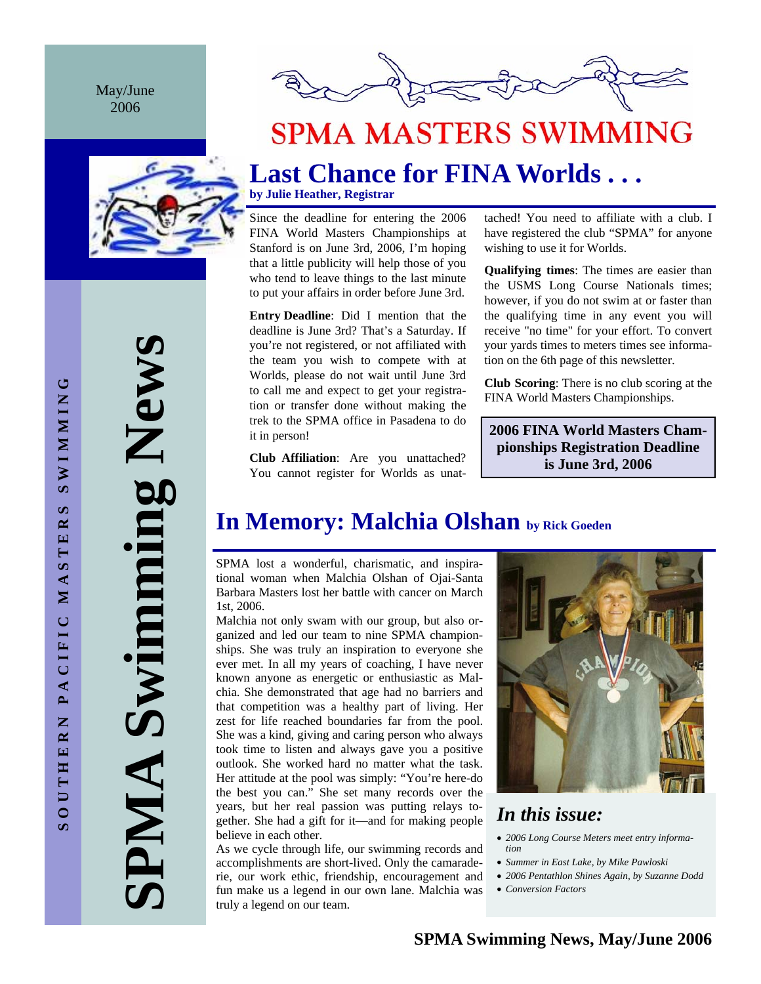May/June 2006





# **SPMA MASTERS SWIMMING**

# **Last Chance for FINA Worlds . . .**

**by Julie Heather, Registrar** 

Since the deadline for entering the 2006 FINA World Masters Championships at Stanford is on June 3rd, 2006, I'm hoping that a little publicity will help those of you who tend to leave things to the last minute to put your affairs in order before June 3rd.

**Entry Deadline**: Did I mention that the deadline is June 3rd? That's a Saturday. If you're not registered, or not affiliated with the team you wish to compete with at Worlds, please do not wait until June 3rd to call me and expect to get your registration or transfer done without making the trek to the SPMA office in Pasadena to do it in person!

**Club Affiliation**: Are you unattached? You cannot register for Worlds as unattached! You need to affiliate with a club. I have registered the club "SPMA" for anyone wishing to use it for Worlds.

**Qualifying times**: The times are easier than the USMS Long Course Nationals times; however, if you do not swim at or faster than the qualifying time in any event you will receive "no time" for your effort. To convert your yards times to meters times see information on the 6th page of this newsletter.

**Club Scoring**: There is no club scoring at the FINA World Masters Championships.

**2006 FINA World Masters Championships Registration Deadline is June 3rd, 2006** 

## **In Memory: Malchia Olshan by Rick Goeden**

SPMA lost a wonderful, charismatic, and inspirational woman when Malchia Olshan of Ojai-Santa Barbara Masters lost her battle with cancer on March 1st, 2006.

Malchia not only swam with our group, but also organized and led our team to nine SPMA championships. She was truly an inspiration to everyone she ever met. In all my years of coaching, I have never known anyone as energetic or enthusiastic as Malchia. She demonstrated that age had no barriers and that competition was a healthy part of living. Her zest for life reached boundaries far from the pool. She was a kind, giving and caring person who always took time to listen and always gave you a positive outlook. She worked hard no matter what the task. Her attitude at the pool was simply: "You're here-do the best you can." She set many records over the years, but her real passion was putting relays together. She had a gift for it—and for making people believe in each other.

As we cycle through life, our swimming records and accomplishments are short-lived. Only the camaraderie, our work ethic, friendship, encouragement and fun make us a legend in our own lane. Malchia was truly a legend on our team.



## *In this issue:*

- *2006 Long Course Meters meet entry information*
- *Summer in East Lake, by Mike Pawloski*
- *2006 Pentathlon Shines Again, by Suzanne Dodd*
- *Conversion Factors*

**SPMA Swimming News**  Swimming News AIMP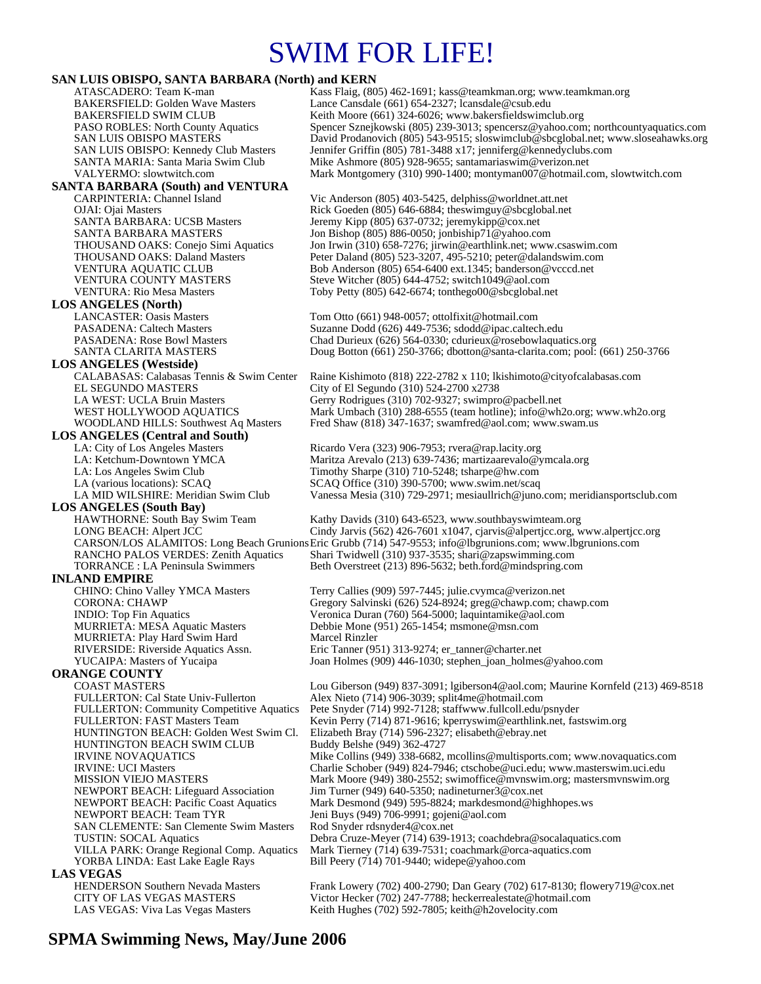# SWIM FOR LIFE!

### **SAN LUIS OBISPO, SANTA BARBARA (North) and KERN**

| <u>DINT LICID ODIDI O, DINTITA DINADINAN (ITOITHI) ANU KERNIT</u><br>ATASCADERO: Team K-man | Kass Flaig, (805) 462-1691; kass@teamkman.org; www.teamkman.org                                                                         |
|---------------------------------------------------------------------------------------------|-----------------------------------------------------------------------------------------------------------------------------------------|
| <b>BAKERSFIELD: Golden Wave Masters</b>                                                     | Lance Cansdale (661) 654-2327; lcansdale@csub.edu                                                                                       |
| <b>BAKERSFIELD SWIM CLUB</b>                                                                | Keith Moore (661) 324-6026; www.bakersfieldswimclub.org                                                                                 |
| <b>PASO ROBLES:</b> North County Aquatics                                                   | Spencer Sznejkowski (805) 239-3013; spencersz@yahoo.com; northcountyaquatics.com                                                        |
| <b>SAN LUIS OBISPO MASTERS</b>                                                              | David Prodanovich (805) 543-9515; sloswimclub@sbcglobal.net; www.sloseahawks.org                                                        |
| <b>SAN LUIS OBISPO: Kennedy Club Masters</b><br>SANTA MARIA: Santa Maria Swim Club          | Jennifer Griffin (805) 781-3488 x17; jenniferg@kennedyclubs.com<br>Mike Ashmore (805) 928-9655; santamariaswim@verizon.net              |
| VALYERMO: slowtwitch.com                                                                    | Mark Montgomery (310) 990-1400; montyman007@hotmail.com, slowtwitch.com                                                                 |
| <b>SANTA BARBARA (South) and VENTURA</b>                                                    |                                                                                                                                         |
| CARPINTERIA: Channel Island                                                                 | Vic Anderson (805) 403-5425, delphiss@worldnet.att.net                                                                                  |
| OJAI: Ojai Masters                                                                          | Rick Goeden (805) 646-6884; theswimguy@sbcglobal.net                                                                                    |
| <b>SANTA BARBARA: UCSB Masters</b>                                                          | Jeremy Kipp (805) 637-0732; jeremykipp@cox.net                                                                                          |
| SANTA BARBARA MASTERS                                                                       | Jon Bishop (805) 886-0050; jonbiship71@yahoo.com                                                                                        |
| THOUSAND OAKS: Conejo Simi Aquatics                                                         | Jon Irwin (310) 658-7276; jirwin@earthlink.net; www.csaswim.com                                                                         |
| <b>THOUSAND OAKS: Daland Masters</b><br>VENTURA AQUATIC CLUB                                | Peter Daland (805) 523-3207, 495-5210; peter@dalandswim.com<br>Bob Anderson (805) 654-6400 ext.1345; banderson@vcccd.net                |
| <b>VENTURA COUNTY MASTERS</b>                                                               | Steve Witcher (805) 644-4752; switch1049@aol.com                                                                                        |
| <b>VENTURA: Rio Mesa Masters</b>                                                            | Toby Petty $(805)$ 642-6674; tonthego00@sbcglobal.net                                                                                   |
| <b>LOS ANGELES (North)</b>                                                                  |                                                                                                                                         |
| <b>LANCASTER: Oasis Masters</b>                                                             | Tom Otto (661) 948-0057; ottolfixit@hotmail.com                                                                                         |
| <b>PASADENA: Caltech Masters</b>                                                            | Suzanne Dodd (626) 449-7536; sdodd@ipac.caltech.edu                                                                                     |
| <b>PASADENA: Rose Bowl Masters</b>                                                          | Chad Durieux (626) 564-0330; cdurieux @rosebowlaquatics.org                                                                             |
| SANTA CLARITA MASTERS                                                                       | Doug Botton (661) 250-3766; dbotton@santa-clarita.com; pool: (661) 250-3766                                                             |
| <b>LOS ANGELES</b> (Westside)                                                               |                                                                                                                                         |
| CALABASAS: Calabasas Tennis & Swim Center                                                   | Raine Kishimoto (818) 222-2782 x 110; lkishimoto@cityofcalabasas.com                                                                    |
| EL SEGUNDO MASTERS<br>LA WEST: UCLA Bruin Masters                                           | City of El Segundo (310) 524-2700 x2738<br>Gerry Rodrigues (310) 702-9327; swimpro@pacbell.net                                          |
| WEST HOLLYWOOD AQUATICS                                                                     | Mark Umbach (310) 288-6555 (team hotline); info@wh2o.org; www.wh2o.org                                                                  |
| <b>WOODLAND HILLS: Southwest Aq Masters</b>                                                 | Fred Shaw (818) 347-1637; swamfred@aol.com; www.swam.us                                                                                 |
| <b>LOS ANGELES</b> (Central and South)                                                      |                                                                                                                                         |
| LA: City of Los Angeles Masters                                                             | Ricardo Vera (323) 906-7953; rvera@rap.lacity.org                                                                                       |
| LA: Ketchum-Downtown YMCA                                                                   | Maritza Arevalo (213) 639-7436; martizaarevalo@ymcala.org                                                                               |
| LA: Los Angeles Swim Club                                                                   | Timothy Sharpe (310) 710-5248; tsharpe@hw.com                                                                                           |
| LA (various locations): SCAQ                                                                | SCAQ Office (310) 390-5700; www.swim.net/scaq                                                                                           |
| LA MID WILSHIRE: Meridian Swim Club                                                         | Vanessa Mesia (310) 729-2971; mesiaullrich@juno.com; meridiansportsclub.com                                                             |
|                                                                                             |                                                                                                                                         |
| <b>LOS ANGELES (South Bay)</b>                                                              |                                                                                                                                         |
| HAWTHORNE: South Bay Swim Team                                                              | Kathy Davids (310) 643-6523, www.southbayswimteam.org                                                                                   |
| LONG BEACH: Alpert JCC                                                                      | Cindy Jarvis (562) 426-7601 x1047, cjarvis@alpertjcc.org, www.alpertjcc.org                                                             |
|                                                                                             | CARSON/LOS ALAMITOS: Long Beach Grunions Eric Grubb (714) 547-9553; info@lbgrunions.com; www.lbgrunions.com                             |
| RANCHO PALOS VERDES: Zenith Aquatics<br><b>TORRANCE</b> : LA Peninsula Swimmers             | Shari Twidwell (310) 937-3535; shari@zapswimming.com<br>Beth Overstreet (213) 896-5632; beth.ford@mindspring.com                        |
| <b>INLAND EMPIRE</b>                                                                        |                                                                                                                                         |
| CHINO: Chino Valley YMCA Masters                                                            | Terry Callies (909) 597-7445; julie.cvymca@verizon.net                                                                                  |
| <b>CORONA: CHAWP</b>                                                                        | Gregory Salvinski (626) 524-8924; greg@chawp.com; chawp.com                                                                             |
| <b>INDIO:</b> Top Fin Aquatics                                                              | Veronica Duran (760) 564-5000; laquintamike@aol.com                                                                                     |
| <b>MURRIETA: MESA Aquatic Masters</b>                                                       | Debbie Mone (951) 265-1454; msmone@msn.com                                                                                              |
| MURRIETA: Play Hard Swim Hard                                                               | Marcel Rinzler                                                                                                                          |
| RIVERSIDE: Riverside Aquatics Assn.                                                         | Eric Tanner (951) 313-9274; er_tanner@charter.net                                                                                       |
| YUCAIPA: Masters of Yucaipa                                                                 | Joan Holmes (909) 446-1030; stephen_joan_holmes@yahoo.com                                                                               |
| <b>ORANGE COUNTY</b>                                                                        |                                                                                                                                         |
| <b>COAST MASTERS</b><br>FULLERTON: Cal State Univ-Fullerton                                 | Lou Giberson (949) 837-3091; lgiberson4@aol.com; Maurine Kornfeld (213) 469-8518<br>Alex Nieto (714) 906-3039; split4me@hotmail.com     |
| <b>FULLERTON: Community Competitive Aquatics</b>                                            | Pete Snyder (714) 992-7128; staffwww.fullcoll.edu/psnyder                                                                               |
| FULLERTON: FAST Masters Team                                                                | Kevin Perry (714) 871-9616; kperryswim@earthlink.net, fastswim.org                                                                      |
| HUNTINGTON BEACH: Golden West Swim Cl.                                                      | Elizabeth Bray (714) 596-2327; elisabeth@ebray.net                                                                                      |
| HUNTINGTON BEACH SWIM CLUB                                                                  | Buddy Belshe (949) 362-4727                                                                                                             |
| <b>IRVINE NOVAQUATICS</b>                                                                   | Mike Collins (949) 338-6682, mcollins@multisports.com; www.novaquatics.com                                                              |
| <b>IRVINE: UCI Masters</b>                                                                  | Charlie Schober (949) 824-7946; ctschobe@uci.edu; www.masterswim.uci.edu                                                                |
| <b>MISSION VIEJO MASTERS</b><br><b>NEWPORT BEACH: Lifeguard Association</b>                 | Mark Moore (949) 380-2552; swimoffice@mvnswim.org; mastersmvnswim.org                                                                   |
| <b>NEWPORT BEACH: Pacific Coast Aquatics</b>                                                | Jim Turner (949) 640-5350; nadineturner $3@cos$ .net<br>Mark Desmond (949) 595-8824; markdesmond@highhopes.ws                           |
| NEWPORT BEACH: Team TYR                                                                     | Jeni Buys (949) 706-9991; gojeni@aol.com                                                                                                |
| SAN CLEMENTE: San Clemente Swim Masters                                                     | Rod Snyder rdsnyder4@cox.net                                                                                                            |
| <b>TUSTIN: SOCAL Aquatics</b>                                                               | Debra Cruze-Meyer (714) 639-1913; coachdebra@socalaquatics.com                                                                          |
| VILLA PARK: Orange Regional Comp. Aquatics                                                  | Mark Tierney (714) 639-7531; coachmark@orca-aquatics.com                                                                                |
| YORBA LINDA: East Lake Eagle Rays                                                           | Bill Peery $(714)$ 701-9440; widepe@yahoo.com                                                                                           |
| <b>LAS VEGAS</b>                                                                            |                                                                                                                                         |
| <b>HENDERSON Southern Nevada Masters</b><br>CITY OF LAS VEGAS MASTERS                       | Frank Lowery (702) 400-2790; Dan Geary (702) 617-8130; flowery719@cox.net<br>Victor Hecker (702) 247-7788; heckerrealestate@hotmail.com |
| LAS VEGAS: Viva Las Vegas Masters                                                           | Keith Hughes (702) 592-7805; keith@h2ovelocity.com                                                                                      |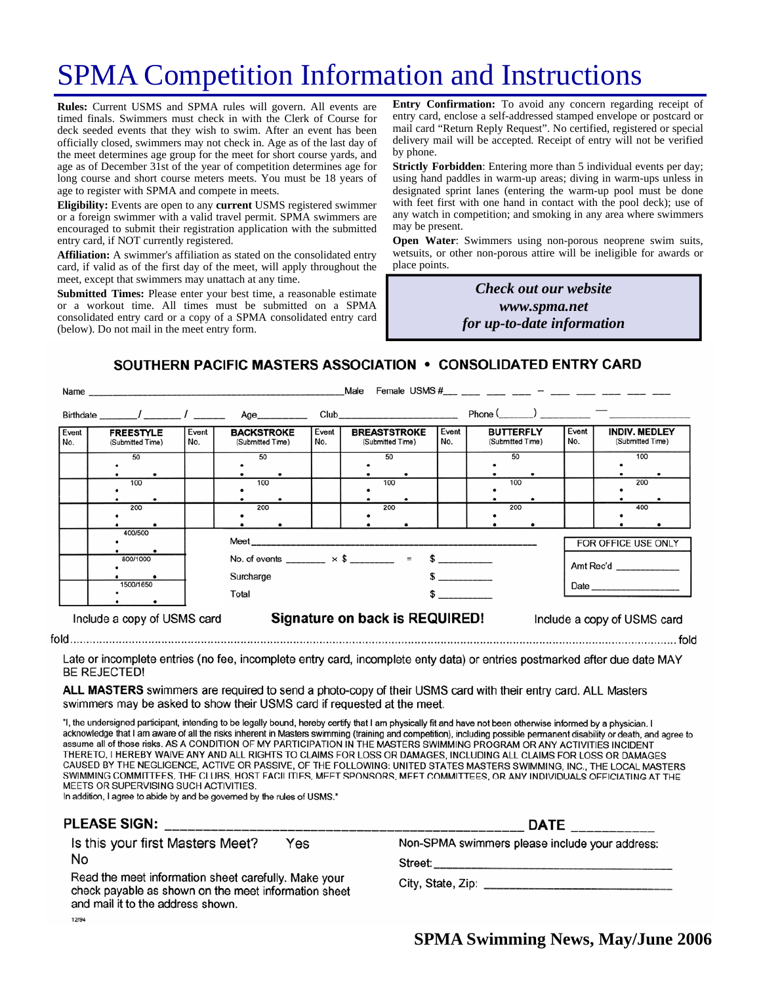# SPMA Competition Information and Instructions

**Rules:** Current USMS and SPMA rules will govern. All events are timed finals. Swimmers must check in with the Clerk of Course for deck seeded events that they wish to swim. After an event has been officially closed, swimmers may not check in. Age as of the last day of the meet determines age group for the meet for short course yards, and age as of December 31st of the year of competition determines age for long course and short course meters meets. You must be 18 years of age to register with SPMA and compete in meets.

**Eligibility:** Events are open to any **current** USMS registered swimmer or a foreign swimmer with a valid travel permit. SPMA swimmers are encouraged to submit their registration application with the submitted entry card, if NOT currently registered.

**Affiliation:** A swimmer's affiliation as stated on the consolidated entry card, if valid as of the first day of the meet, will apply throughout the meet, except that swimmers may unattach at any time.

**Submitted Times:** Please enter your best time, a reasonable estimate or a workout time. All times must be submitted on a SPMA consolidated entry card or a copy of a SPMA consolidated entry card (below). Do not mail in the meet entry form.

**Entry Confirmation:** To avoid any concern regarding receipt of entry card, enclose a self-addressed stamped envelope or postcard or mail card "Return Reply Request". No certified, registered or special delivery mail will be accepted. Receipt of entry will not be verified by phone.

**Strictly Forbidden**: Entering more than 5 individual events per day; using hand paddles in warm-up areas; diving in warm-ups unless in designated sprint lanes (entering the warm-up pool must be done with feet first with one hand in contact with the pool deck); use of any watch in competition; and smoking in any area where swimmers may be present.

**Open Water**: Swimmers using non-porous neoprene swim suits, wetsuits, or other non-porous attire will be ineligible for awards or place points.

> *Check out our website www.spma.net for up-to-date information*

SOUTHERN PACIFIC MASTERS ASSOCIATION • CONSOLIDATED ENTRY CARD

|                                                                                              | Name                                 |              |                                                                        |              | Male                                                                                                                                                                                                                           |              |                                      |                     |                                          |
|----------------------------------------------------------------------------------------------|--------------------------------------|--------------|------------------------------------------------------------------------|--------------|--------------------------------------------------------------------------------------------------------------------------------------------------------------------------------------------------------------------------------|--------------|--------------------------------------|---------------------|------------------------------------------|
|                                                                                              | Birthdate $\frac{1}{\sqrt{2}}$       |              | Age__________                                                          |              | Club and the contract of the contract of the contract of the contract of the contract of the contract of the contract of the contract of the contract of the contract of the contract of the contract of the contract of the c |              | $Phone($ $)$ $-$                     |                     |                                          |
| Event<br>No.                                                                                 | <b>FREESTYLE</b><br>(Submitted Time) | Event<br>No. | <b>BACKSTROKE</b><br>(Submitted Time)                                  | Event<br>No. | <b>BREASTSTROKE</b><br>(Submitted Time)                                                                                                                                                                                        | Event<br>No. | <b>BUTTERFLY</b><br>(Submitted Time) | Event<br>No.        | <b>INDIV. MEDLEY</b><br>(Submitted Time) |
|                                                                                              | 50                                   |              | 50                                                                     |              | 50                                                                                                                                                                                                                             |              | 50                                   |                     | 100                                      |
|                                                                                              | 100                                  |              | 100                                                                    |              | 100                                                                                                                                                                                                                            |              | 100                                  |                     | 200                                      |
|                                                                                              | 200                                  |              | 200                                                                    |              | 200                                                                                                                                                                                                                            |              | 200                                  |                     | 400                                      |
|                                                                                              | 400/500                              |              |                                                                        |              |                                                                                                                                                                                                                                |              |                                      | FOR OFFICE USE ONLY |                                          |
|                                                                                              | 800/1000                             |              | No. of events ________ $\times$ \$ ________ = \$ ________<br>Surcharge |              |                                                                                                                                                                                                                                |              | Amt Rec'd                            |                     |                                          |
|                                                                                              | 1500/1650                            |              | Total                                                                  |              |                                                                                                                                                                                                                                |              |                                      |                     |                                          |
| Signature on back is REQUIRED!<br>Include a copy of USMS card<br>Include a copy of USMS card |                                      |              |                                                                        |              |                                                                                                                                                                                                                                |              |                                      |                     |                                          |

Late or incomplete entries (no fee, incomplete entry card, incomplete enty data) or entries postmarked after due date MAY **BE REJECTED!** 

ALL MASTERS swimmers are required to send a photo-copy of their USMS card with their entry card. ALL Masters swimmers may be asked to show their USMS card if requested at the meet.

"I, the undersigned participant, intending to be legally bound, hereby certify that I am physically fit and have not been otherwise informed by a physician. I acknowledge that I am aware of all the risks inherent in Masters swimming (training and competition), including possible permanent disability or death, and agree to assume all of those risks. AS A CONDITION OF MY PARTICIPATION IN THE MASTERS SWIMMING PROGRAM OR ANY ACTIVITIES INCIDENT THERETO, I HEREBY WAIVE ANY AND ALL RIGHTS TO CLAIMS FOR LOSS OR DAMAGES, INCLUDING ALL CLAIMS FOR LOSS OR DAMAGES CAUSED BY THE NEGLIGENCE, ACTIVE OR PASSIVE, OF THE FOLLOWING: UNITED STATES MASTERS SWIMMING, INC., THE LOCAL MASTERS SWIMMING COMMITTEES, THE CLUBS, HOST FACILITIES, MEET SPONSORS, MEET COMMITTEES, OR ANY INDIVIDUALS OFFICIATING AT THE MEETS OR SUPERVISING SUCH ACTIVITIES.

In addition, I agree to abide by and be governed by the rules of USMS."

#### **PLEASE SIGN:**

Is this your first Masters Meet? Yes No

Read the meet information sheet carefully. Make your check payable as shown on the meet information sheet and mail it to the address shown. 12/94

| Non-SPMA swimmers please include your address: |  |
|------------------------------------------------|--|
|------------------------------------------------|--|

**DATE** 

City, State, Zip: example of the state of the state of the state of the state of the state of the state of the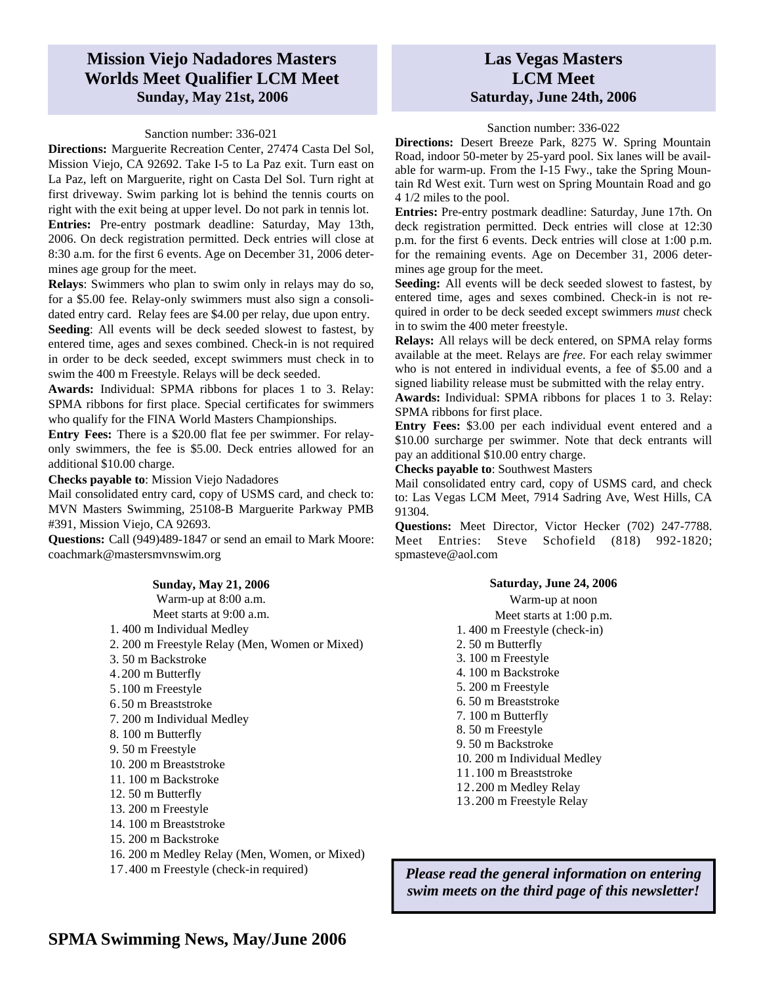## **Mission Viejo Nadadores Masters Worlds Meet Qualifier LCM Meet Sunday, May 21st, 2006**

#### Sanction number: 336-021

**Directions:** Marguerite Recreation Center, 27474 Casta Del Sol, Mission Viejo, CA 92692. Take I-5 to La Paz exit. Turn east on La Paz, left on Marguerite, right on Casta Del Sol. Turn right at first driveway. Swim parking lot is behind the tennis courts on right with the exit being at upper level. Do not park in tennis lot. **Entries:** Pre-entry postmark deadline: Saturday, May 13th, 2006. On deck registration permitted. Deck entries will close at 8:30 a.m. for the first 6 events. Age on December 31, 2006 determines age group for the meet.

**Relays**: Swimmers who plan to swim only in relays may do so, for a \$5.00 fee. Relay-only swimmers must also sign a consolidated entry card. Relay fees are \$4.00 per relay, due upon entry.

**Seeding**: All events will be deck seeded slowest to fastest, by entered time, ages and sexes combined. Check-in is not required in order to be deck seeded, except swimmers must check in to swim the 400 m Freestyle. Relays will be deck seeded.

**Awards:** Individual: SPMA ribbons for places 1 to 3. Relay: SPMA ribbons for first place. Special certificates for swimmers who qualify for the FINA World Masters Championships.

**Entry Fees:** There is a \$20.00 flat fee per swimmer. For relayonly swimmers, the fee is \$5.00. Deck entries allowed for an additional \$10.00 charge.

**Checks payable to**: Mission Viejo Nadadores

Mail consolidated entry card, copy of USMS card, and check to: MVN Masters Swimming, 25108-B Marguerite Parkway PMB #391, Mission Viejo, CA 92693.

**Questions:** Call (949)489-1847 or send an email to Mark Moore: coachmark@mastersmvnswim.org

## **Las Vegas Masters LCM Meet Saturday, June 24th, 2006**

#### Sanction number: 336-022

**Directions:** Desert Breeze Park, 8275 W. Spring Mountain Road, indoor 50-meter by 25-yard pool. Six lanes will be available for warm-up. From the I-15 Fwy., take the Spring Mountain Rd West exit. Turn west on Spring Mountain Road and go 4 1/2 miles to the pool.

**Entries:** Pre-entry postmark deadline: Saturday, June 17th. On deck registration permitted. Deck entries will close at 12:30 p.m. for the first 6 events. Deck entries will close at 1:00 p.m. for the remaining events. Age on December 31, 2006 determines age group for the meet.

**Seeding:** All events will be deck seeded slowest to fastest, by entered time, ages and sexes combined. Check-in is not required in order to be deck seeded except swimmers *must* check in to swim the 400 meter freestyle.

**Relays:** All relays will be deck entered, on SPMA relay forms available at the meet. Relays are *free*. For each relay swimmer who is not entered in individual events, a fee of \$5.00 and a signed liability release must be submitted with the relay entry.

**Awards:** Individual: SPMA ribbons for places 1 to 3. Relay: SPMA ribbons for first place.

**Entry Fees:** \$3.00 per each individual event entered and a \$10.00 surcharge per swimmer. Note that deck entrants will pay an additional \$10.00 entry charge.

**Checks payable to**: Southwest Masters

Mail consolidated entry card, copy of USMS card, and check to: Las Vegas LCM Meet, 7914 Sadring Ave, West Hills, CA 91304.

**Questions:** Meet Director, Victor Hecker (702) 247-7788. Meet Entries: Steve Schofield (818) 992-1820; spmasteve@aol.com

#### **Saturday, June 24, 2006**

Warm-up at noon Meet starts at 1:00 p.m. 1. 400 m Freestyle (check-in) 2. 50 m Butterfly 3. 100 m Freestyle 4. 100 m Backstroke 5. 200 m Freestyle 6. 50 m Breaststroke 7. 100 m Butterfly 8. 50 m Freestyle 9. 50 m Backstroke 10. 200 m Individual Medley 11.100 m Breaststroke 12.200 m Medley Relay 13.200 m Freestyle Relay

*Please read the general information on entering swim meets on the third page of this newsletter!*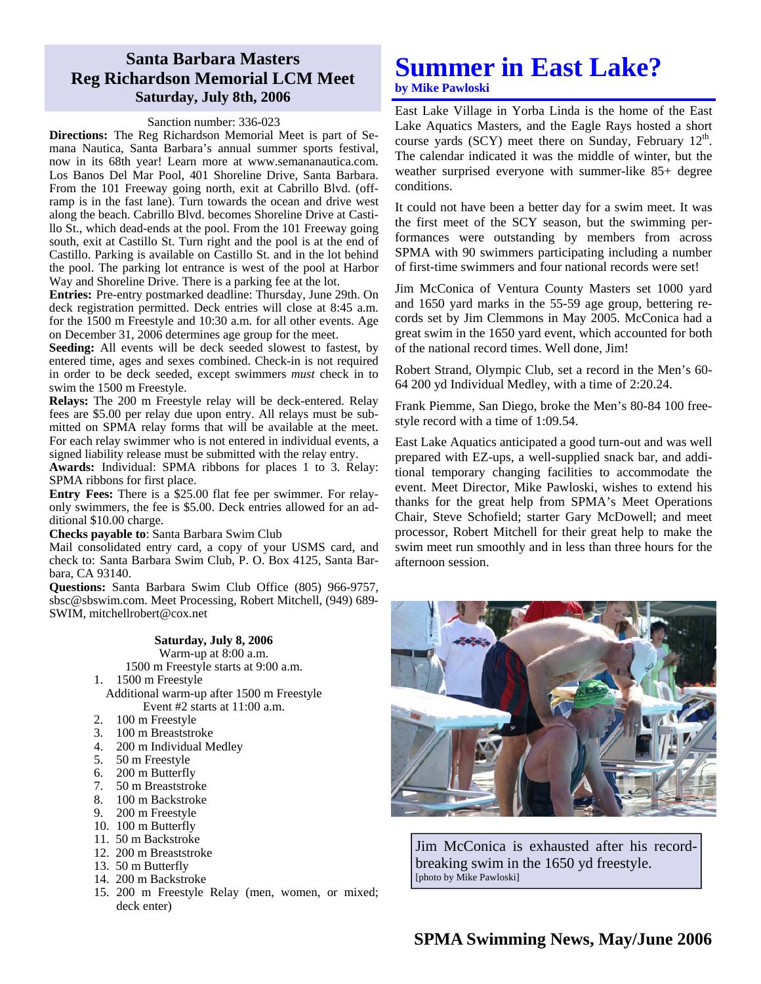## **Santa Barbara Masters Reg Richardson Memorial LCM Meet Saturday, July 8th, 2006**

#### Sanction number: 336-023

**Directions:** The Reg Richardson Memorial Meet is part of Semana Nautica, Santa Barbara's annual summer sports festival, now in its 68th year! Learn more at www.semananautica.com. Los Banos Del Mar Pool, 401 Shoreline Drive, Santa Barbara. From the 101 Freeway going north, exit at Cabrillo Blvd. (offramp is in the fast lane). Turn towards the ocean and drive west along the beach. Cabrillo Blvd. becomes Shoreline Drive at Castillo St., which dead-ends at the pool. From the 101 Freeway going south, exit at Castillo St. Turn right and the pool is at the end of Castillo. Parking is available on Castillo St. and in the lot behind the pool. The parking lot entrance is west of the pool at Harbor Way and Shoreline Drive. There is a parking fee at the lot.

**Entries:** Pre-entry postmarked deadline: Thursday, June 29th. On deck registration permitted. Deck entries will close at 8:45 a.m. for the 1500 m Freestyle and 10:30 a.m. for all other events. Age on December 31, 2006 determines age group for the meet.

**Seeding:** All events will be deck seeded slowest to fastest, by entered time, ages and sexes combined. Check-in is not required in order to be deck seeded, except swimmers *must* check in to swim the 1500 m Freestyle.

**Relays:** The 200 m Freestyle relay will be deck-entered. Relay fees are \$5.00 per relay due upon entry. All relays must be submitted on SPMA relay forms that will be available at the meet. For each relay swimmer who is not entered in individual events, a signed liability release must be submitted with the relay entry.

**Awards:** Individual: SPMA ribbons for places 1 to 3. Relay: SPMA ribbons for first place.

**Entry Fees:** There is a \$25.00 flat fee per swimmer. For relayonly swimmers, the fee is \$5.00. Deck entries allowed for an additional \$10.00 charge.

**Checks payable to**: Santa Barbara Swim Club

Mail consolidated entry card, a copy of your USMS card, and check to: Santa Barbara Swim Club, P. O. Box 4125, Santa Barbara, CA 93140.

**Questions:** Santa Barbara Swim Club Office (805) 966-9757, sbsc@sbswim.com. Meet Processing, Robert Mitchell, (949) 689- SWIM, mitchellrobert@cox.net

#### **Saturday, July 8, 2006**

Warm-up at 8:00 a.m. 1500 m Freestyle starts at 9:00 a.m.

1. 1500 m Freestyle

Additional warm-up after 1500 m Freestyle Event #2 starts at 11:00 a.m.

- 2. 100 m Freestyle
- 3. 100 m Breaststroke
- 4. 200 m Individual Medley
- 5. 50 m Freestyle
- 6. 200 m Butterfly
- 7. 50 m Breaststroke
- 8. 100 m Backstroke
- 9. 200 m Freestyle
- 10. 100 m Butterfly
- 11. 50 m Backstroke
- 12. 200 m Breaststroke
- 13. 50 m Butterfly
- 14. 200 m Backstroke
- 15. 200 m Freestyle Relay (men, women, or mixed; deck enter)

## **Summer in East Lake? by Mike Pawloski**

East Lake Village in Yorba Linda is the home of the East Lake Aquatics Masters, and the Eagle Rays hosted a short course yards (SCY) meet there on Sunday, February  $12<sup>th</sup>$ . The calendar indicated it was the middle of winter, but the weather surprised everyone with summer-like 85+ degree conditions.

It could not have been a better day for a swim meet. It was the first meet of the SCY season, but the swimming performances were outstanding by members from across SPMA with 90 swimmers participating including a number of first-time swimmers and four national records were set!

Jim McConica of Ventura County Masters set 1000 yard and 1650 yard marks in the 55-59 age group, bettering records set by Jim Clemmons in May 2005. McConica had a great swim in the 1650 yard event, which accounted for both of the national record times. Well done, Jim!

Robert Strand, Olympic Club, set a record in the Men's 60- 64 200 yd Individual Medley, with a time of 2:20.24.

Frank Piemme, San Diego, broke the Men's 80-84 100 freestyle record with a time of 1:09.54.

East Lake Aquatics anticipated a good turn-out and was well prepared with EZ-ups, a well-supplied snack bar, and additional temporary changing facilities to accommodate the event. Meet Director, Mike Pawloski, wishes to extend his thanks for the great help from SPMA's Meet Operations Chair, Steve Schofield; starter Gary McDowell; and meet processor, Robert Mitchell for their great help to make the swim meet run smoothly and in less than three hours for the afternoon session.



Jim McConica is exhausted after his recordbreaking swim in the 1650 yd freestyle. [photo by Mike Pawloski]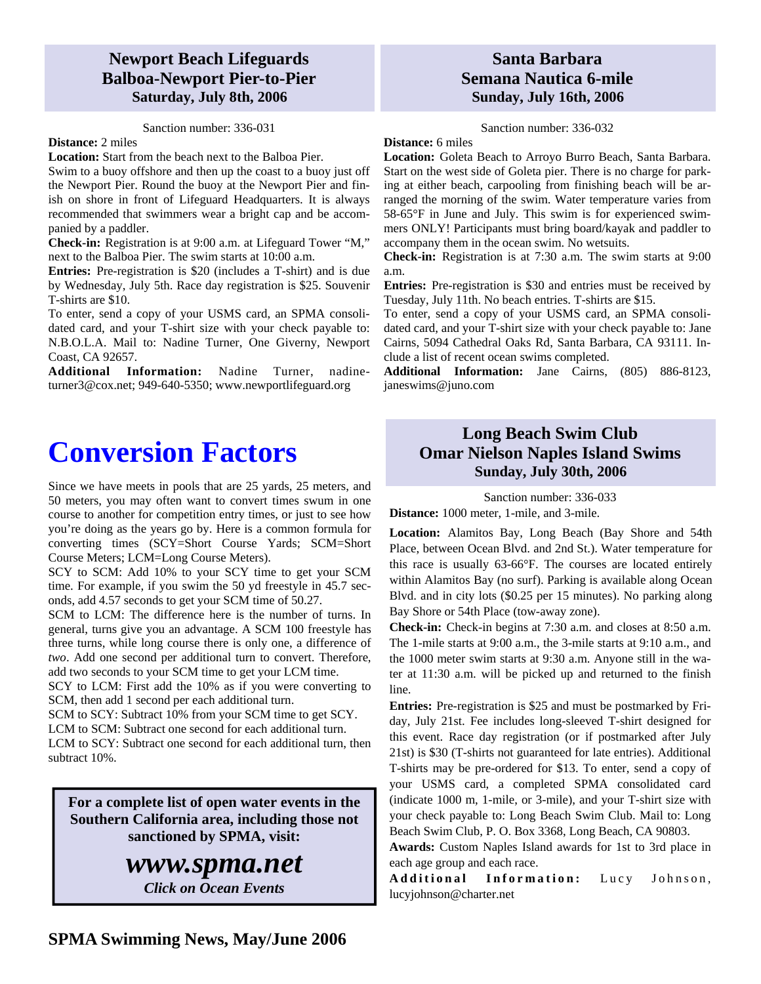## **Newport Beach Lifeguards Balboa-Newport Pier-to-Pier Saturday, July 8th, 2006**

#### Sanction number: 336-031

#### **Distance:** 2 miles

**Location:** Start from the beach next to the Balboa Pier. Swim to a buoy offshore and then up the coast to a buoy just off the Newport Pier. Round the buoy at the Newport Pier and finish on shore in front of Lifeguard Headquarters. It is always recommended that swimmers wear a bright cap and be accompanied by a paddler.

**Check-in:** Registration is at 9:00 a.m. at Lifeguard Tower "M," next to the Balboa Pier. The swim starts at 10:00 a.m.

**Entries:** Pre-registration is \$20 (includes a T-shirt) and is due by Wednesday, July 5th. Race day registration is \$25. Souvenir T-shirts are \$10.

To enter, send a copy of your USMS card, an SPMA consolidated card, and your T-shirt size with your check payable to: N.B.O.L.A. Mail to: Nadine Turner, One Giverny, Newport Coast, CA 92657.

**Additional Information:** Nadine Turner, nadineturner3@cox.net; 949-640-5350; www.newportlifeguard.org

# **Conversion Factors**

Since we have meets in pools that are 25 yards, 25 meters, and 50 meters, you may often want to convert times swum in one course to another for competition entry times, or just to see how you're doing as the years go by. Here is a common formula for converting times (SCY=Short Course Yards; SCM=Short Course Meters; LCM=Long Course Meters).

SCY to SCM: Add 10% to your SCY time to get your SCM time. For example, if you swim the 50 yd freestyle in 45.7 seconds, add 4.57 seconds to get your SCM time of 50.27.

SCM to LCM: The difference here is the number of turns. In general, turns give you an advantage. A SCM 100 freestyle has three turns, while long course there is only one, a difference of *two*. Add one second per additional turn to convert. Therefore, add two seconds to your SCM time to get your LCM time.

SCY to LCM: First add the 10% as if you were converting to SCM, then add 1 second per each additional turn.

SCM to SCY: Subtract 10% from your SCM time to get SCY.

LCM to SCM: Subtract one second for each additional turn.

LCM to SCY: Subtract one second for each additional turn, then subtract 10%.

**For a complete list of open water events in the Southern California area, including those not sanctioned by SPMA, visit:** 

## *www.spma.net*

*Click on Ocean Events* 

## **Santa Barbara Semana Nautica 6-mile Sunday, July 16th, 2006**

Sanction number: 336-032

**Distance:** 6 miles

**Location:** Goleta Beach to Arroyo Burro Beach, Santa Barbara. Start on the west side of Goleta pier. There is no charge for parking at either beach, carpooling from finishing beach will be arranged the morning of the swim. Water temperature varies from 58-65°F in June and July. This swim is for experienced swimmers ONLY! Participants must bring board/kayak and paddler to accompany them in the ocean swim. No wetsuits.

**Check-in:** Registration is at 7:30 a.m. The swim starts at 9:00 a.m.

**Entries:** Pre-registration is \$30 and entries must be received by Tuesday, July 11th. No beach entries. T-shirts are \$15.

To enter, send a copy of your USMS card, an SPMA consolidated card, and your T-shirt size with your check payable to: Jane Cairns, 5094 Cathedral Oaks Rd, Santa Barbara, CA 93111. Include a list of recent ocean swims completed.

**Additional Information:** Jane Cairns, (805) 886-8123, janeswims@juno.com

## **Long Beach Swim Club Omar Nielson Naples Island Swims Sunday, July 30th, 2006**

Sanction number: 336-033

**Distance:** 1000 meter, 1-mile, and 3-mile.

**Location:** Alamitos Bay, Long Beach (Bay Shore and 54th Place, between Ocean Blvd. and 2nd St.). Water temperature for this race is usually 63-66°F. The courses are located entirely within Alamitos Bay (no surf). Parking is available along Ocean Blvd. and in city lots (\$0.25 per 15 minutes). No parking along Bay Shore or 54th Place (tow-away zone).

**Check-in:** Check-in begins at 7:30 a.m. and closes at 8:50 a.m. The 1-mile starts at 9:00 a.m., the 3-mile starts at 9:10 a.m., and the 1000 meter swim starts at 9:30 a.m. Anyone still in the water at 11:30 a.m. will be picked up and returned to the finish line.

**Entries:** Pre-registration is \$25 and must be postmarked by Friday, July 21st. Fee includes long-sleeved T-shirt designed for this event. Race day registration (or if postmarked after July 21st) is \$30 (T-shirts not guaranteed for late entries). Additional T-shirts may be pre-ordered for \$13. To enter, send a copy of your USMS card, a completed SPMA consolidated card (indicate 1000 m, 1-mile, or 3-mile), and your T-shirt size with your check payable to: Long Beach Swim Club. Mail to: Long Beach Swim Club, P. O. Box 3368, Long Beach, CA 90803.

**Awards:** Custom Naples Island awards for 1st to 3rd place in each age group and each race.

Additional Information: Lucy Johnson, lucyjohnson@charter.net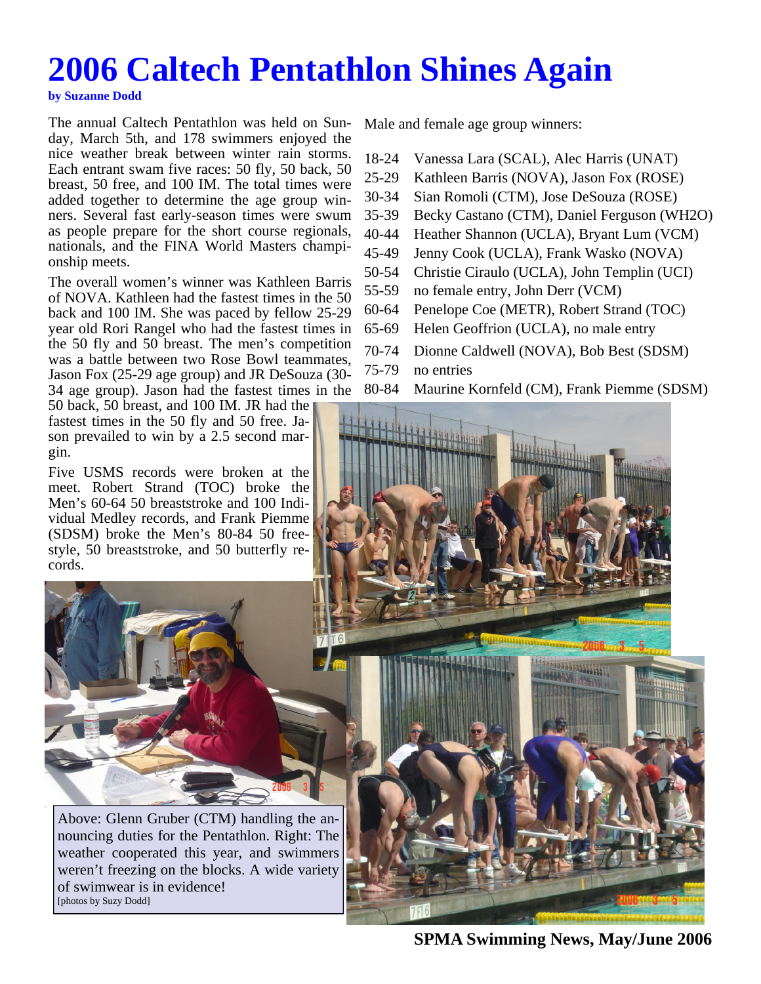# **2006 Caltech Pentathlon Shines Again**

#### **by Suzanne Dodd**

The annual Caltech Pentathlon was held on Sunday, March 5th, and 178 swimmers enjoyed the nice weather break between winter rain storms. Each entrant swam five races: 50 fly, 50 back, 50 breast, 50 free, and 100 IM. The total times were added together to determine the age group winners. Several fast early-season times were swum as people prepare for the short course regionals, nationals, and the FINA World Masters championship meets.

The overall women's winner was Kathleen Barris of NOVA. Kathleen had the fastest times in the 50 back and 100 IM. She was paced by fellow 25-29 year old Rori Rangel who had the fastest times in the 50 fly and 50 breast. The men's competition was a battle between two Rose Bowl teammates, Jason Fox (25-29 age group) and JR DeSouza (30- 34 age group). Jason had the fastest times in the

50 back, 50 breast, and 100 IM. JR had the fastest times in the 50 fly and 50 free. Jason prevailed to win by a 2.5 second margin.

Five USMS records were broken at the meet. Robert Strand (TOC) broke the Men's 60-64 50 breaststroke and 100 Individual Medley records, and Frank Piemme (SDSM) broke the Men's 80-84 50 freestyle, 50 breaststroke, and 50 butterfly records.



Above: Glenn Gruber (CTM) handling the announcing duties for the Pentathlon. Right: The weather cooperated this year, and swimmers weren't freezing on the blocks. A wide variety of swimwear is in evidence! [photos by Suzy Dodd]

Male and female age group winners:

- 18-24 Vanessa Lara (SCAL), Alec Harris (UNAT)
- 25-29 Kathleen Barris (NOVA), Jason Fox (ROSE)
- 30-34 Sian Romoli (CTM), Jose DeSouza (ROSE)
- 35-39 Becky Castano (CTM), Daniel Ferguson (WH2O)
- 40-44 Heather Shannon (UCLA), Bryant Lum (VCM)
- 45-49 Jenny Cook (UCLA), Frank Wasko (NOVA)
- 50-54 Christie Ciraulo (UCLA), John Templin (UCI)
- 55-59 no female entry, John Derr (VCM)
- 60-64 Penelope Coe (METR), Robert Strand (TOC)
- 65-69 Helen Geoffrion (UCLA), no male entry
- 70-74 Dionne Caldwell (NOVA), Bob Best (SDSM)
- 75-79 no entries
- 80-84 Maurine Kornfeld (CM), Frank Piemme (SDSM)



**SPMA Swimming News, May/June 2006**